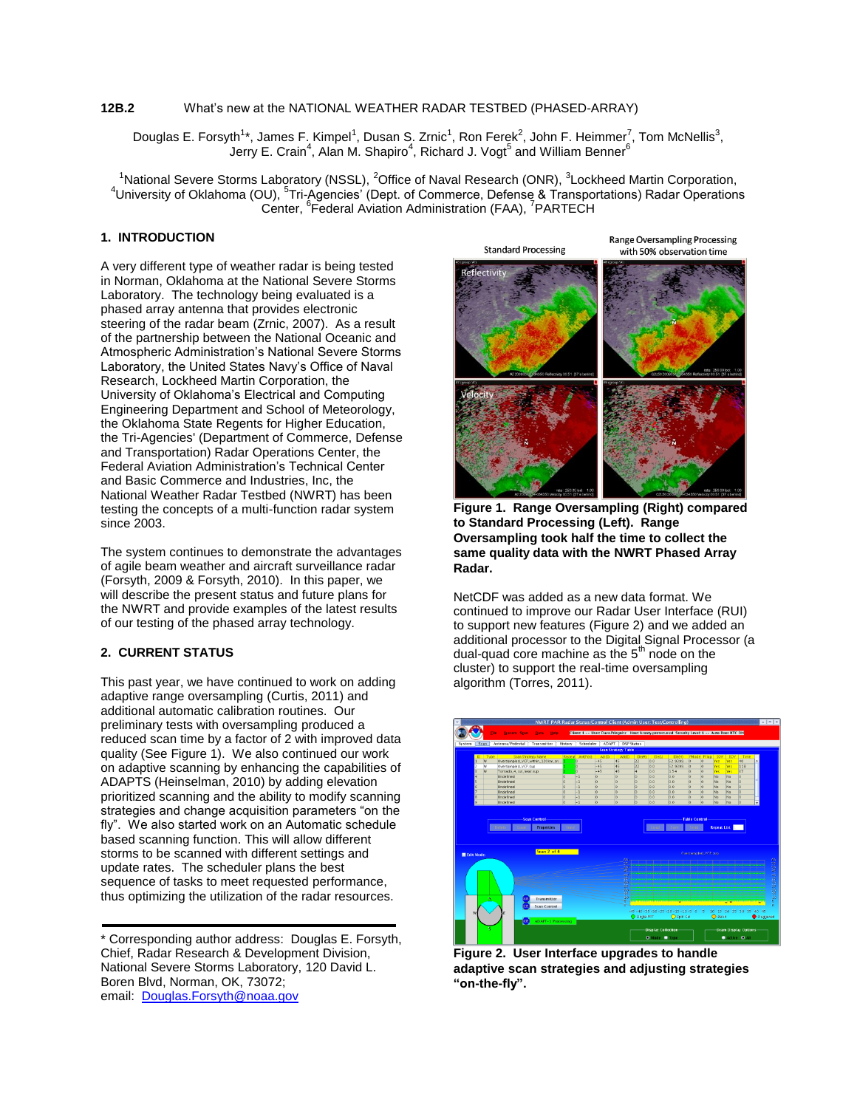### **12B.2** What's new at the NATIONAL WEATHER RADAR TESTBED (PHASED-ARRAY)

Douglas E. Forsyth<sup>1</sup>\*, James F. Kimpel<sup>1</sup>, Dusan S. Zrnic<sup>1</sup>, Ron Ferek<sup>2</sup>, John F. Heimmer<sup>7</sup>, Tom McNellis<sup>3</sup>, Jerry E. Crain $^4$ , Alan M. Shapiro $^4$ , Richard J. Vogt $^5$  and William Benner $^6$ 

<sup>1</sup>National Severe Storms Laboratory (NSSL), <sup>2</sup>Office of Naval Research (ONR), <sup>3</sup>Lockheed Martin Corporation, <sup>4</sup>University of Oklahoma (OU), <sup>5</sup>Tri-Agencies' (Dept. of Commerce, Defense & Transportations) Radar Operations Center, <sup>6</sup>Federal Aviation Administration (FAA), <sup>7</sup>PARTECH

# **1. INTRODUCTION**

A very different type of weather radar is being tested in Norman, Oklahoma at the National Severe Storms Laboratory. The technology being evaluated is a phased array antenna that provides electronic steering of the radar beam (Zrnic, 2007). As a result of the partnership between the National Oceanic and Atmospheric Administration's National Severe Storms Laboratory, the United States Navy's Office of Naval Research, Lockheed Martin Corporation, the University of Oklahoma's Electrical and Computing Engineering Department and School of Meteorology, the Oklahoma State Regents for Higher Education, the Tri-Agencies' (Department of Commerce, Defense and Transportation) Radar Operations Center, the Federal Aviation Administration's Technical Center and Basic Commerce and Industries, Inc, the National Weather Radar Testbed (NWRT) has been testing the concepts of a multi-function radar system since 2003.

The system continues to demonstrate the advantages of agile beam weather and aircraft surveillance radar (Forsyth, 2009 & Forsyth, 2010). In this paper, we will describe the present status and future plans for the NWRT and provide examples of the latest results of our testing of the phased array technology.

### **2. CURRENT STATUS**

This past year, we have continued to work on adding adaptive range oversampling (Curtis, 2011) and additional automatic calibration routines. Our preliminary tests with oversampling produced a reduced scan time by a factor of 2 with improved data quality (See Figure 1). We also continued our work on adaptive scanning by enhancing the capabilities of ADAPTS (Heinselman, 2010) by adding elevation prioritized scanning and the ability to modify scanning strategies and change acquisition parameters "on the fly". We also started work on an Automatic schedule based scanning function. This will allow different storms to be scanned with different settings and update rates. The scheduler plans the best sequence of tasks to meet requested performance, thus optimizing the utilization of the radar resources.



**Figure 1. Range Oversampling (Right) compared to Standard Processing (Left). Range Oversampling took half the time to collect the same quality data with the NWRT Phased Array Radar.**

NetCDF was added as a new data format. We continued to improve our Radar User Interface (RUI) to support new features (Figure 2) and we added an additional processor to the Digital Signal Processor (a dual-quad core machine as the  $5<sup>th</sup>$  node on the cluster) to support the real-time oversampling algorithm (Torres, 2011).



**Figure 2. User Interface upgrades to handle adaptive scan strategies and adjusting strategies "on-the-fly".**

<sup>\*</sup> Corresponding author address: Douglas E. Forsyth, Chief, Radar Research & Development Division, National Severe Storms Laboratory, 120 David L. Boren Blvd, Norman, OK, 73072; email: [Douglas.Forsyth@noaa.gov](mailto:Douglas.Forsyth@noaa.gov)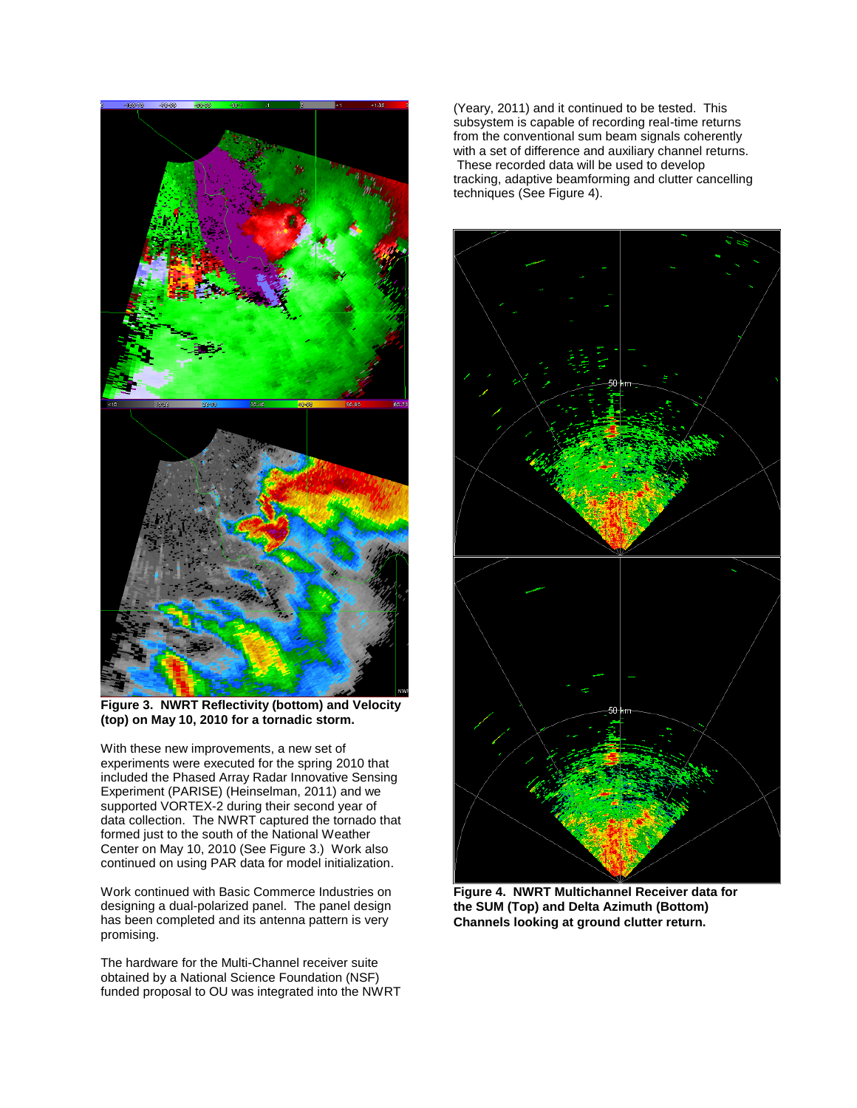

**Figure 3. NWRT Reflectivity (bottom) and Velocity (top) on May 10, 2010 for a tornadic storm.** 

With these new improvements, a new set of experiments were executed for the spring 2010 that included the Phased Array Radar Innovative Sensing Experiment (PARISE) (Heinselman, 2011) and we supported VORTEX-2 during their second year of data collection. The NWRT captured the tornado that formed just to the south of the National Weather Center on May 10, 2010 (See Figure 3.) Work also continued on using PAR data for model initialization.

Work continued with Basic Commerce Industries on designing a dual-polarized panel. The panel design has been completed and its antenna pattern is very promising.

The hardware for the Multi-Channel receiver suite obtained by a National Science Foundation (NSF) funded proposal to OU was integrated into the NWRT

(Yeary, 2011) and it continued to be tested. This subsystem is capable of recording real-time returns from the conventional sum beam signals coherently with a set of difference and auxiliary channel returns. These recorded data will be used to develop tracking, adaptive beamforming and clutter cancelling techniques (See Figure 4).



**Figure 4. NWRT Multichannel Receiver data for the SUM (Top) and Delta Azimuth (Bottom) Channels looking at ground clutter return.**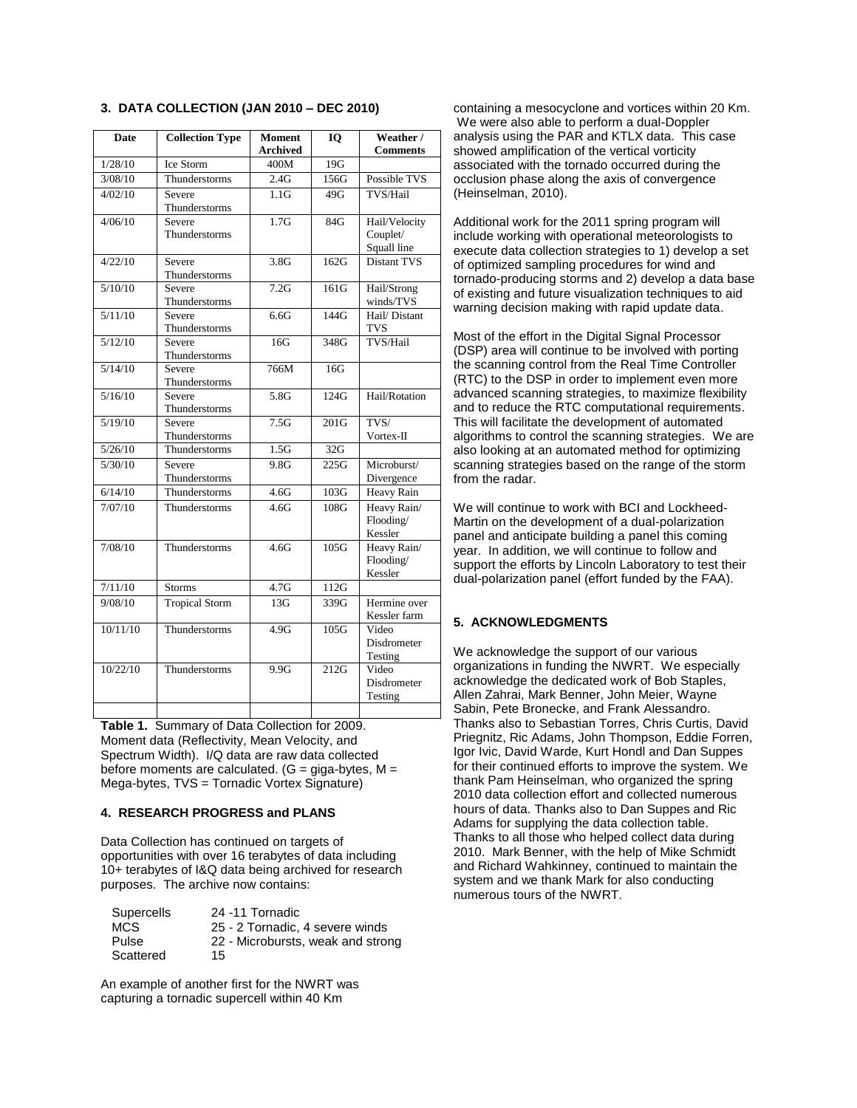| <b>Date</b> | <b>Collection Type</b>  | <b>Moment</b>    | <b>IO</b> | Weather /           |
|-------------|-------------------------|------------------|-----------|---------------------|
|             |                         | <b>Archived</b>  |           | <b>Comments</b>     |
| 1/28/10     | Ice Storm               | 400M             | 19G       |                     |
| 3/08/10     | Thunderstorms           | 2.4G             | 156G      | Possible TVS        |
| 4/02/10     | Severe                  | 1.1 <sub>G</sub> | 49G       | TVS/Hail            |
|             | Thunderstorms           |                  |           |                     |
| 4/06/10     | Severe                  | 1.7 <sub>G</sub> | 84G       | Hail/Velocity       |
|             | Thunderstorms           |                  |           | Couplet/            |
|             |                         |                  |           | Squall line         |
| 4/22/10     | Severe                  | 3.8G             | 162G      | <b>Distant TVS</b>  |
|             | Thunderstorms           |                  |           |                     |
| 5/10/10     | Severe                  | 7.2G             | 161G      | Hail/Strong         |
|             | Thunderstorms           |                  |           | winds/TVS           |
| 5/11/10     | Severe                  | 6.6G             | 144G      | Hail/Distant<br>TVS |
| 5/12/10     | Thunderstorms<br>Severe | 16G              | 348G      | TVS/Hail            |
|             | Thunderstorms           |                  |           |                     |
| 5/14/10     | Severe                  | 766M             | 16G       |                     |
|             | Thunderstorms           |                  |           |                     |
| 5/16/10     | Severe                  | 5.8G             | 124G      | Hail/Rotation       |
|             | Thunderstorms           |                  |           |                     |
| 5/19/10     | Severe                  | 7.5G             | 201G      | TVS/                |
|             | Thunderstorms           |                  |           | Vortex-II           |
| 5/26/10     | Thunderstorms           | 1.5G             | 32G       |                     |
| 5/30/10     | Severe                  | 9.8G             | 225G      | Microburst/         |
|             | Thunderstorms           |                  |           | Divergence          |
| 6/14/10     | Thunderstorms           | 4.6G             | 103G      | <b>Heavy Rain</b>   |
| 7/07/10     | Thunderstorms           | 4.6G             | 108G      | Heavy Rain/         |
|             |                         |                  |           | Flooding/           |
|             |                         |                  |           | Kessler             |
| 7/08/10     | Thunderstorms           | 4.6G             | 105G      | Heavy Rain/         |
|             |                         |                  |           | Flooding/           |
|             |                         |                  |           | Kessler             |
| 7/11/10     | <b>Storms</b>           | 4.7G             | 112G      |                     |
| 9/08/10     | <b>Tropical Storm</b>   | 13G              | 339G      | Hermine over        |
|             |                         |                  |           | Kessler farm        |
| 10/11/10    | Thunderstorms           | 4.9G             | 105G      | Video               |
|             |                         |                  |           | Disdrometer         |
|             |                         |                  |           | Testing             |
| 10/22/10    | Thunderstorms           | 9.9G             | 212G      | Video               |
|             |                         |                  |           | Disdrometer         |
|             |                         |                  |           | Testing             |
|             |                         |                  |           |                     |

**3. DATA COLLECTION (JAN 2010 – DEC 2010)**

**Table 1.** Summary of Data Collection for 2009. Moment data (Reflectivity, Mean Velocity, and Spectrum Width). I/Q data are raw data collected before moments are calculated.  $(G = giga-bytes, M =$ Mega-bytes, TVS = Tornadic Vortex Signature)

#### **4. RESEARCH PROGRESS and PLANS**

Data Collection has continued on targets of opportunities with over 16 terabytes of data including 10+ terabytes of I&Q data being archived for research purposes. The archive now contains:

| Supercells | 24 -11 Tornadic                   |
|------------|-----------------------------------|
| MCS.       | 25 - 2 Tornadic, 4 severe winds   |
| Pulse      | 22 - Microbursts, weak and strong |
| Scattered  | 15                                |

An example of another first for the NWRT was capturing a tornadic supercell within 40 Km

containing a mesocyclone and vortices within 20 Km. We were also able to perform a dual-Doppler analysis using the PAR and KTLX data. This case showed amplification of the vertical vorticity associated with the tornado occurred during the occlusion phase along the axis of convergence (Heinselman, 2010).

Additional work for the 2011 spring program will include working with operational meteorologists to execute data collection strategies to 1) develop a set of optimized sampling procedures for wind and tornado-producing storms and 2) develop a data base of existing and future visualization techniques to aid warning decision making with rapid update data.

Most of the effort in the Digital Signal Processor (DSP) area will continue to be involved with porting the scanning control from the Real Time Controller (RTC) to the DSP in order to implement even more advanced scanning strategies, to maximize flexibility and to reduce the RTC computational requirements. This will facilitate the development of automated algorithms to control the scanning strategies. We are also looking at an automated method for optimizing scanning strategies based on the range of the storm from the radar.

We will continue to work with BCI and Lockheed-Martin on the development of a dual-polarization panel and anticipate building a panel this coming year. In addition, we will continue to follow and support the efforts by Lincoln Laboratory to test their dual-polarization panel (effort funded by the FAA).

## **5. ACKNOWLEDGMENTS**

We acknowledge the support of our various organizations in funding the NWRT. We especially acknowledge the dedicated work of Bob Staples, Allen Zahrai, Mark Benner, John Meier, Wayne Sabin, Pete Bronecke, and Frank Alessandro. Thanks also to Sebastian Torres, Chris Curtis, David Priegnitz, Ric Adams, John Thompson, Eddie Forren, Igor Ivic, David Warde, Kurt Hondl and Dan Suppes for their continued efforts to improve the system. We thank Pam Heinselman, who organized the spring 2010 data collection effort and collected numerous hours of data. Thanks also to Dan Suppes and Ric Adams for supplying the data collection table. Thanks to all those who helped collect data during 2010. Mark Benner, with the help of Mike Schmidt and Richard Wahkinney, continued to maintain the system and we thank Mark for also conducting numerous tours of the NWRT.